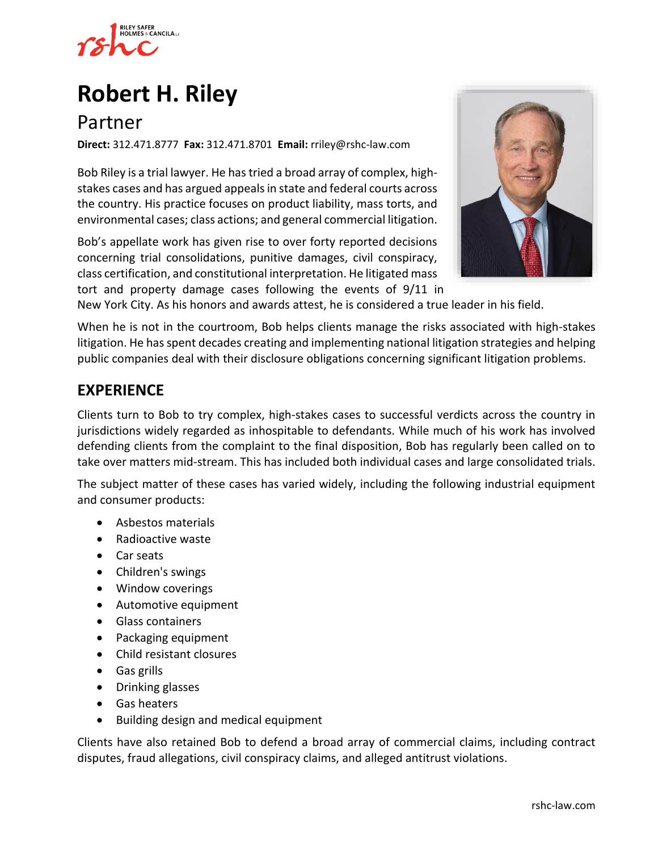

# **[Robert H. Riley](https://www.rshc-law.com/attorneys/attorney/robert-h.-riley)**

## Partner

**Direct:** 312.471.8777 **Fax:** 312.471.8701 **Email:** rriley@rshc-law.com

Bob Riley is a trial lawyer. He has tried a broad array of complex, highstakes cases and has argued appeals in state and federal courts across the country. His practice focuses on product liability, mass torts, and environmental cases; class actions; and general commercial litigation.

Bob's appellate work has given rise to over forty reported decisions concerning trial consolidations, punitive damages, civil conspiracy, class certification, and constitutional interpretation. He litigated mass tort and property damage cases following the events of 9/11 in



New York City. As his honors and awards attest, he is considered a true leader in his field.

When he is not in the courtroom, Bob helps clients manage the risks associated with high-stakes litigation. He has spent decades creating and implementing national litigation strategies and helping public companies deal with their disclosure obligations concerning significant litigation problems.

## **EXPERIENCE**

Clients turn to Bob to try complex, high-stakes cases to successful verdicts across the country in jurisdictions widely regarded as inhospitable to defendants. While much of his work has involved defending clients from the complaint to the final disposition, Bob has regularly been called on to take over matters mid-stream. This has included both individual cases and large consolidated trials.

The subject matter of these cases has varied widely, including the following industrial equipment and consumer products:

- Asbestos materials
- Radioactive waste
- Car seats
- Children's swings
- Window coverings
- Automotive equipment
- Glass containers
- Packaging equipment
- Child resistant closures
- Gas grills
- Drinking glasses
- Gas heaters
- Building design and medical equipment

Clients have also retained Bob to defend a broad array of commercial claims, including contract disputes, fraud allegations, civil conspiracy claims, and alleged antitrust violations.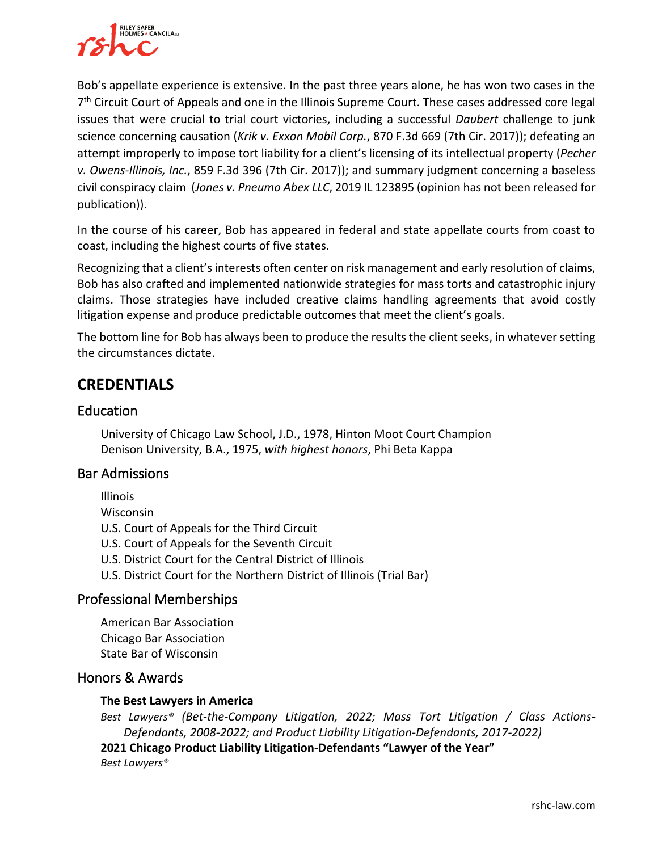

Bob's appellate experience is extensive. In the past three years alone, he has won two cases in the 7<sup>th</sup> Circuit Court of Appeals and one in the Illinois Supreme Court. These cases addressed core legal issues that were crucial to trial court victories, including a successful *Daubert* challenge to junk science concerning causation (*Krik v. Exxon Mobil Corp.*, 870 F.3d 669 (7th Cir. 2017)); defeating an attempt improperly to impose tort liability for a client's licensing of its intellectual property (*Pecher v. Owens-Illinois, Inc.*, 859 F.3d 396 (7th Cir. 2017)); and summary judgment concerning a baseless civil conspiracy claim (*Jones v. Pneumo Abex LLC*, 2019 IL 123895 (opinion has not been released for publication)).

In the course of his career, Bob has appeared in federal and state appellate courts from coast to coast, including the highest courts of five states.

Recognizing that a client's interests often center on risk management and early resolution of claims, Bob has also crafted and implemented nationwide strategies for mass torts and catastrophic injury claims. Those strategies have included creative claims handling agreements that avoid costly litigation expense and produce predictable outcomes that meet the client's goals.

The bottom line for Bob has always been to produce the results the client seeks, in whatever setting the circumstances dictate.

## **CREDENTIALS**

#### **Education**

University of Chicago Law School, J.D., 1978, Hinton Moot Court Champion Denison University, B.A., 1975, *with highest honors*, Phi Beta Kappa

#### Bar Admissions

Illinois

Wisconsin

U.S. Court of Appeals for the Third Circuit

U.S. Court of Appeals for the Seventh Circuit

- U.S. District Court for the Central District of Illinois
- U.S. District Court for the Northern District of Illinois (Trial Bar)

#### Professional Memberships

American Bar Association Chicago Bar Association State Bar of Wisconsin

#### Honors & Awards

#### **The Best Lawyers in America**

*Best Lawyers® (Bet-the-Company Litigation, 2022; Mass Tort Litigation / Class Actions-Defendants, 2008-2022; and Product Liability Litigation-Defendants, 2017-2022)*

**2021 Chicago Product Liability Litigation-Defendants "Lawyer of the Year"** *Best Lawyers®*